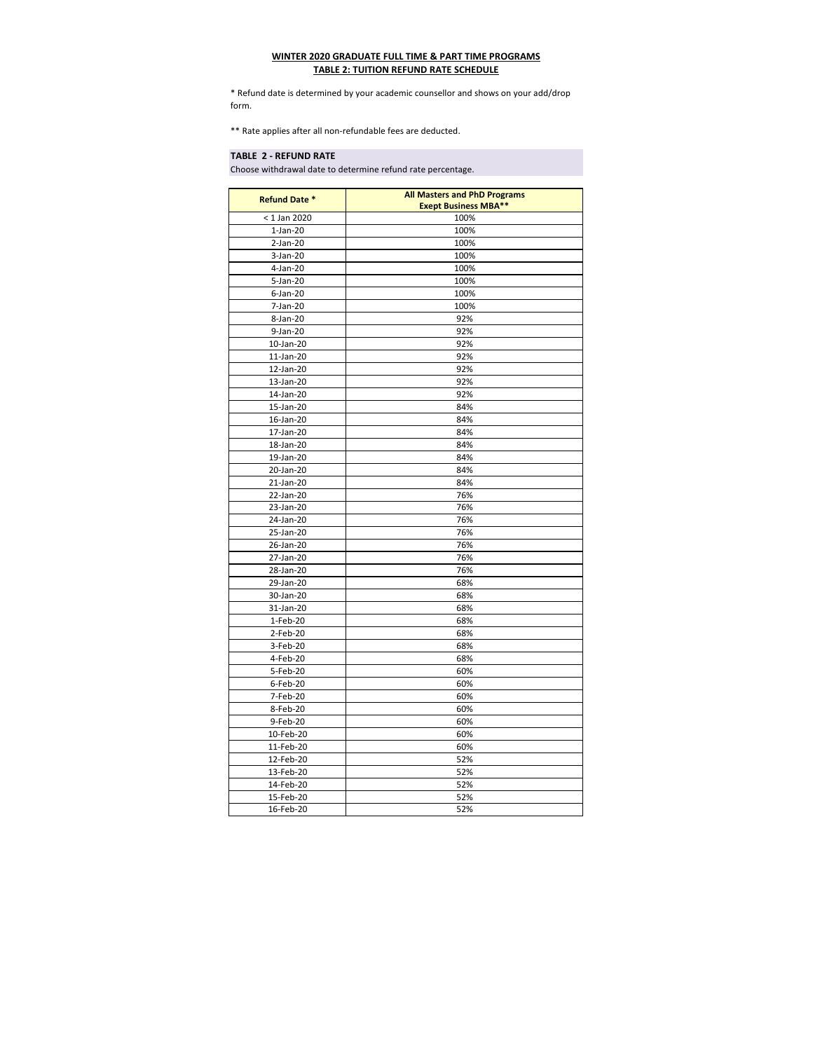## **WINTER 2020 GRADUATE FULL TIME & PART TIME PROGRAMS TABLE 2: TUITION REFUND RATE SCHEDULE**

\* Refund date is determined by your academic counsellor and shows on your add/drop form.

\*\* Rate applies after all non-refundable fees are deducted.

## **TABLE 2 - REFUND RATE**

Choose withdrawal date to determine refund rate percentage.

| <b>Refund Date *</b> | <b>All Masters and PhD Programs</b><br><b>Exept Business MBA**</b> |
|----------------------|--------------------------------------------------------------------|
| < 1 Jan 2020         | 100%                                                               |
| $1-Jan-20$           | 100%                                                               |
| $2-Jan-20$           | 100%                                                               |
| 3-Jan-20             | 100%                                                               |
| 4-Jan-20             | 100%                                                               |
| 5-Jan-20             | 100%                                                               |
| $6$ -Jan-20          | 100%                                                               |
| 7-Jan-20             | 100%                                                               |
| 8-Jan-20             | 92%                                                                |
| 9-Jan-20             | 92%                                                                |
| 10-Jan-20            | 92%                                                                |
| 11-Jan-20            | 92%                                                                |
| 12-Jan-20            | 92%                                                                |
| 13-Jan-20            | 92%                                                                |
| 14-Jan-20            | 92%                                                                |
| 15-Jan-20            | 84%                                                                |
| 16-Jan-20            | 84%                                                                |
| 17-Jan-20            | 84%                                                                |
| 18-Jan-20            | 84%                                                                |
| 19-Jan-20            | 84%                                                                |
| 20-Jan-20            | 84%                                                                |
| 21-Jan-20            | 84%                                                                |
| 22-Jan-20            | 76%                                                                |
| 23-Jan-20            | 76%                                                                |
| 24-Jan-20            | 76%                                                                |
| 25-Jan-20            | 76%                                                                |
| 26-Jan-20            | 76%                                                                |
| 27-Jan-20            | 76%                                                                |
| 28-Jan-20            | 76%                                                                |
| 29-Jan-20            | 68%                                                                |
| 30-Jan-20            | 68%                                                                |
| 31-Jan-20            | 68%                                                                |
| 1-Feb-20             | 68%                                                                |
| 2-Feb-20             | 68%                                                                |
| 3-Feb-20             | 68%                                                                |
| 4-Feb-20             | 68%                                                                |
| 5-Feb-20             | 60%                                                                |
| 6-Feb-20             | 60%                                                                |
| 7-Feb-20             | 60%                                                                |
| 8-Feb-20             | 60%                                                                |
| 9-Feb-20             | 60%                                                                |
| 10-Feb-20            | 60%                                                                |
| 11-Feb-20            | 60%                                                                |
| 12-Feb-20            | 52%                                                                |
| 13-Feb-20            | 52%                                                                |
| 14-Feb-20            | 52%                                                                |
| 15-Feb-20            | 52%                                                                |
| 16-Feb-20            | 52%                                                                |